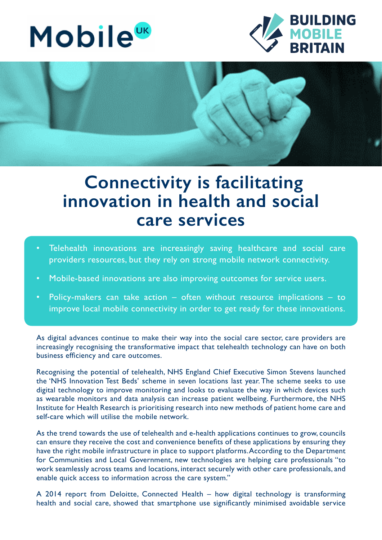## **Mobile**<sup>UK</sup>





## **Connectivity is facilitating innovation in health and social care services**

- Telehealth innovations are increasingly saving healthcare and social care providers resources, but they rely on strong mobile network connectivity.
- Mobile-based innovations are also improving outcomes for service users.
- Policy-makers can take action  $-$  often without resource implications  $-$  to improve local mobile connectivity in order to get ready for these innovations.

As digital advances continue to make their way into the social care sector, care providers are increasingly recognising the transformative impact that telehealth technology can have on both business efficiency and care outcomes.

Recognising the potential of telehealth, NHS England Chief Executive Simon Stevens launched the 'NHS Innovation Test Beds' scheme in seven locations last year. The scheme seeks to use digital technology to improve monitoring and looks to evaluate the way in which devices such as wearable monitors and data analysis can increase patient wellbeing. Furthermore, the NHS Institute for Health Research is prioritising research into new methods of patient home care and self-care which will utilise the mobile network.

As the trend towards the use of telehealth and e-health applications continues to grow, councils can ensure they receive the cost and convenience benefits of these applications by ensuring they have the right mobile infrastructure in place to support platforms. According to the Department for Communities and Local Government, new technologies are helping care professionals "to work seamlessly across teams and locations, interact securely with other care professionals, and enable quick access to information across the care system."

A 2014 report from Deloitte, Connected Health – how digital technology is transforming health and social care, showed that smartphone use significantly minimised avoidable service